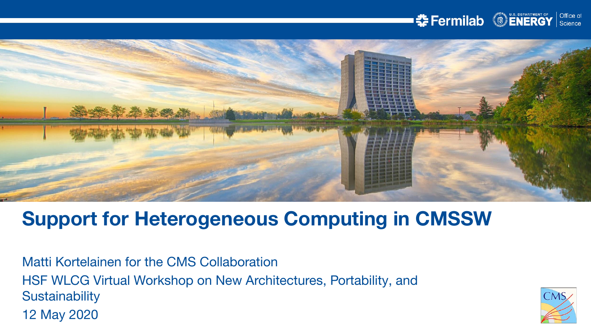



# **Support for Heterogeneous Computing in CMSSW**

Matti Kortelainen for the CMS Collaboration HSF WLCG Virtual Workshop on New Architectures, Portability, and **Sustainability** 12 May 2020

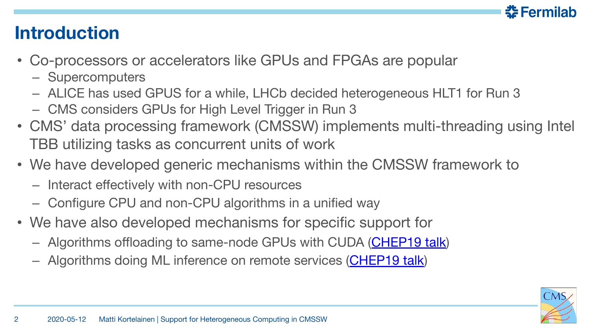

## **Introduction**

- Co-processors or accelerators like GPUs and FPGAs are popular
	- Supercomputers
	- ALICE has used GPUS for a while, LHCb decided heterogeneous HLT1 for Run 3
	- CMS considers GPUs for High Level Trigger in Run 3
- CMS' data processing framework (CMSSW) implements multi-threading using Intel TBB utilizing tasks as concurrent units of work
- We have developed generic mechanisms within the CMSSW framework to
	- Interact effectively with non-CPU resources
	- Configure CPU and non-CPU algorithms in a unified way
- We have also developed mechanisms for specific support for
	- Algorithms offloading to same-node GPUs with CUDA [\(CHEP19 talk](https://indico.cern.ch/event/773049/contributions/3473266/))
	- Algorithms doing ML inference on remote services ([CHEP19 talk\)](https://indico.cern.ch/event/773049/contributions/3474731/)

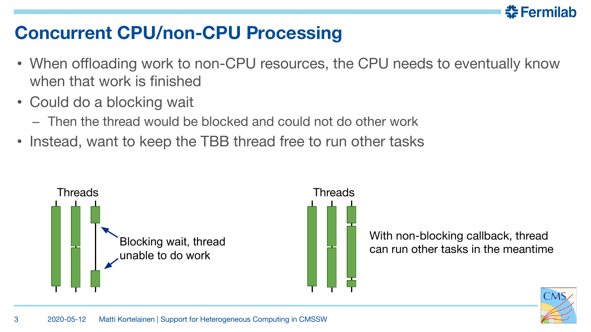

## **Concurrent CPU/non-CPU Processing**

• When offloading work to non-CPU resources, the CPU needs to eventually know when that work is finished

Threads

• Could do a blocking wait

3

- Then the thread would be blocked and could not do other work
- Instead, want to keep the TBB thread free to run other tasks



With non-blocking callback, thread can run other tasks in the meantime

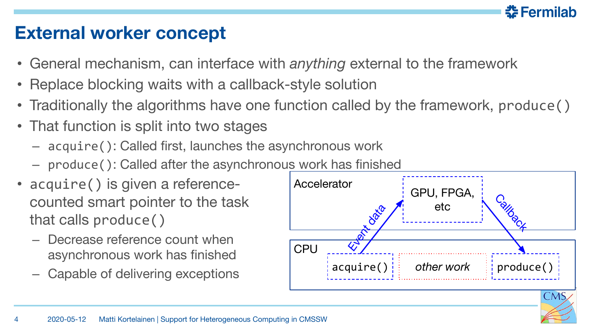

#### **External worker concept**

- General mechanism, can interface with *anything* external to the framework
- Replace blocking waits with a callback-style solution
- Traditionally the algorithms have one function called by the framework, produce ()
- That function is split into two stages
	- acquire(): Called first, launches the asynchronous work
	- produce(): Called after the asynchronous work has finished
- acquire() is given a referencecounted smart pointer to the task that calls produce()
	- Decrease reference count when asynchronous work has finished
	- Capable of delivering exceptions

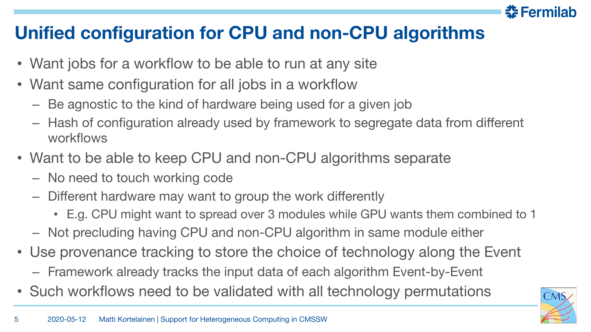

## **Unified configuration for CPU and non-CPU algorithms**

- Want jobs for a workflow to be able to run at any site
- Want same configuration for all jobs in a workflow
	- Be agnostic to the kind of hardware being used for a given job
	- Hash of configuration already used by framework to segregate data from different workflows
- Want to be able to keep CPU and non-CPU algorithms separate
	- No need to touch working code
	- Different hardware may want to group the work differently
		- E.g. CPU might want to spread over 3 modules while GPU wants them combined to 1
	- Not precluding having CPU and non-CPU algorithm in same module either
- Use provenance tracking to store the choice of technology along the Event
	- Framework already tracks the input data of each algorithm Event-by-Event
- Such workflows need to be validated with all technology permutations

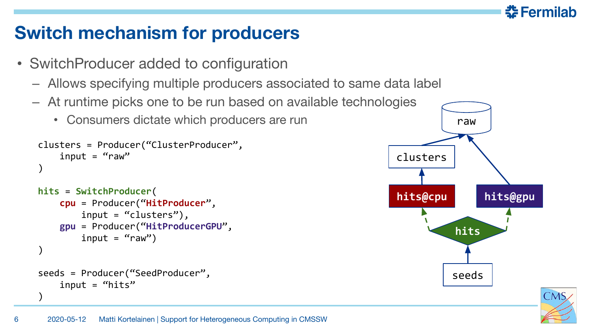## **Switch mechanism for producers**

- SwitchProducer added to configuration
	- Allows specifying multiple producers associated to same data label
	- At runtime picks one to be run based on available technologies
		- Consumers dictate which producers are run

```
clusters = Producer("ClusterProducer",
    input = "raw")
```

```
hits = SwitchProducer(
     cpu = Producer("HitProducer",
         input = "clusters"),
     gpu = Producer("HitProducerGPU",
        input = "raw")
seeds = Producer("SeedProducer",
    input = "hits"
```


춮 Fermilab



)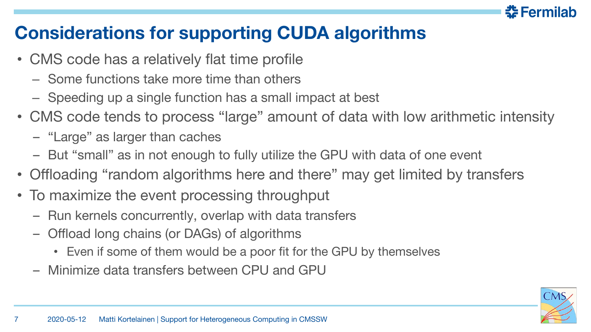

## **Considerations for supporting CUDA algorithms**

- CMS code has a relatively flat time profile
	- Some functions take more time than others
	- Speeding up a single function has a small impact at best
- CMS code tends to process "large" amount of data with low arithmetic intensity
	- "Large" as larger than caches
	- But "small" as in not enough to fully utilize the GPU with data of one event
- Offloading "random algorithms here and there" may get limited by transfers
- To maximize the event processing throughput
	- Run kernels concurrently, overlap with data transfers
	- Offload long chains (or DAGs) of algorithms
		- Even if some of them would be a poor fit for the GPU by themselves
	- Minimize data transfers between CPU and GPU

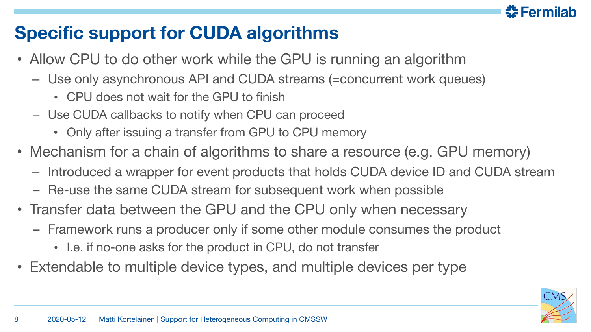## **Specific support for CUDA algorithms**

- Allow CPU to do other work while the GPU is running an algorithm
	- Use only asynchronous API and CUDA streams (=concurrent work queues)
		- CPU does not wait for the GPU to finish
	- Use CUDA callbacks to notify when CPU can proceed
		- Only after issuing a transfer from GPU to CPU memory
- Mechanism for a chain of algorithms to share a resource (e.g. GPU memory)
	- Introduced a wrapper for event products that holds CUDA device ID and CUDA stream
	- Re-use the same CUDA stream for subsequent work when possible
- Transfer data between the GPU and the CPU only when necessary
	- Framework runs a producer only if some other module consumes the product
		- I.e. if no-one asks for the product in CPU, do not transfer
- Extendable to multiple device types, and multiple devices per type

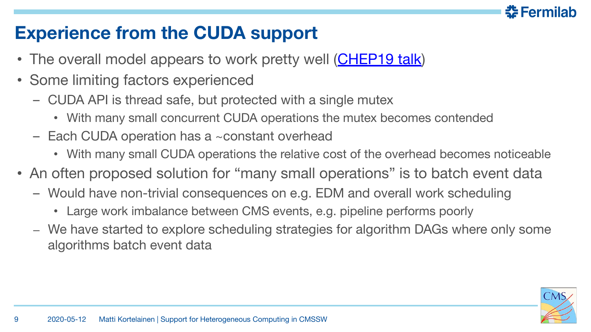

## **Experience from the CUDA support**

- The overall model appears to work pretty well ([CHEP19 talk\)](https://indico.cern.ch/event/773049/contributions/3474336/)
- Some limiting factors experienced
	- CUDA API is thread safe, but protected with a single mutex
		- With many small concurrent CUDA operations the mutex becomes contended
	- Each CUDA operation has a ~constant overhead
		- With many small CUDA operations the relative cost of the overhead becomes noticeable
- An often proposed solution for "many small operations" is to batch event data
	- Would have non-trivial consequences on e.g. EDM and overall work scheduling
		- Large work imbalance between CMS events, e.g. pipeline performs poorly
	- We have started to explore scheduling strategies for algorithm DAGs where only some algorithms batch event data

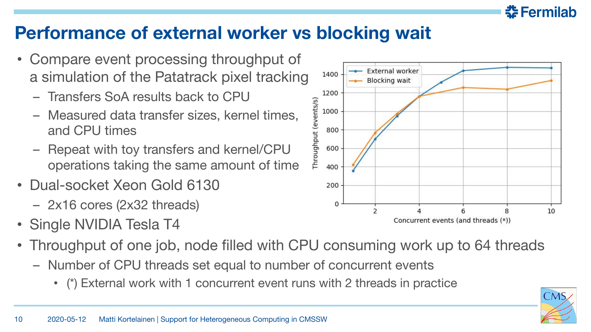

### **Performance of external worker vs blocking wait**

- Compare event processing throughput of a simulation of the Patatrack pixel tracking
	- Transfers SoA results back to CPU
	- Measured data transfer sizes, kernel times, and CPU times
	- Repeat with toy transfers and kernel/CPU operations taking the same amount of time
- Dual-socket Xeon Gold 6130
	- 2x16 cores (2x32 threads)
- Single NVIDIA Tesla T4
- Throughput of one job, node filled with CPU consuming work up to 64 threads
	- Number of CPU threads set equal to number of concurrent events
		- (\*) External work with 1 concurrent event runs with 2 threads in practice

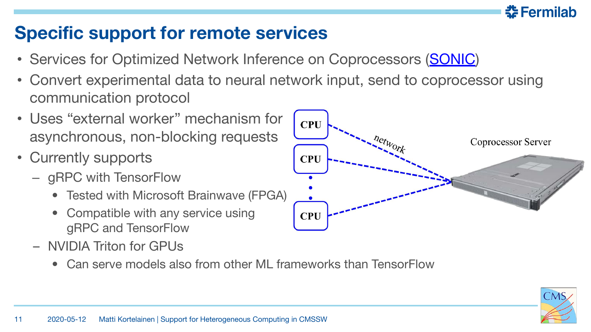## **Specific support for remote services**

- Services for Optimized Network Inference on Coprocessors ([SONIC](https://github.com/hls-fpga-machine-learning/SonicCMS/tree/kjp/1020_azureml_ew))
- Convert experimental data to neural network input, send to coprocessor using communication protocol
- Uses "external worker" mechanism for asynchronous, non-blocking requests
- Currently supports
	- gRPC with TensorFlow
		- Tested with Microsoft Brainwave (FPGA)
		- Compatible with any service using gRPC and TensorFlow
	- NVIDIA Triton for GPUs
		- Can serve models also from other ML frameworks than TensorFlow



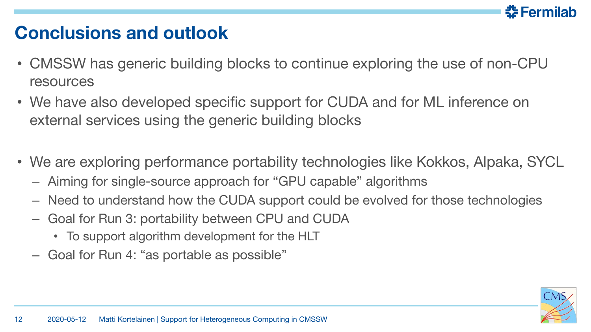

### **Conclusions and outlook**

- CMSSW has generic building blocks to continue exploring the use of non-CPU resources
- We have also developed specific support for CUDA and for ML inference on external services using the generic building blocks
- We are exploring performance portability technologies like Kokkos, Alpaka, SYCL
	- Aiming for single-source approach for "GPU capable" algorithms
	- Need to understand how the CUDA support could be evolved for those technologies
	- Goal for Run 3: portability between CPU and CUDA
		- To support algorithm development for the HLT
	- Goal for Run 4: "as portable as possible"

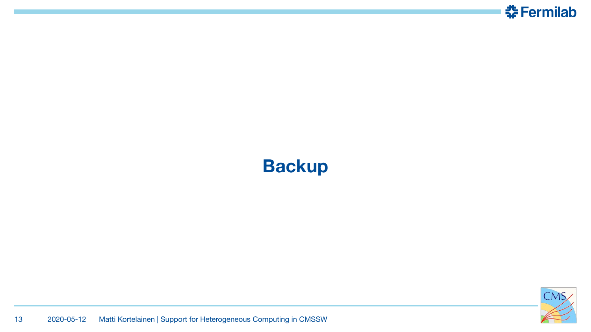

## **Backup**

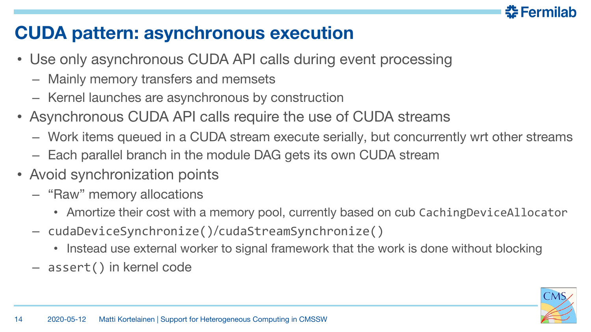### **CUDA pattern: asynchronous execution**

- Use only asynchronous CUDA API calls during event processing
	- Mainly memory transfers and memsets
	- Kernel launches are asynchronous by construction
- Asynchronous CUDA API calls require the use of CUDA streams
	- Work items queued in a CUDA stream execute serially, but concurrently wrt other streams
	- Each parallel branch in the module DAG gets its own CUDA stream
- Avoid synchronization points
	- "Raw" memory allocations
		- Amortize their cost with a memory pool, currently based on cub CachingDeviceAllocator
	- cudaDeviceSynchronize()/cudaStreamSynchronize()
		- Instead use external worker to signal framework that the work is done without blocking
	- assert() in kernel code

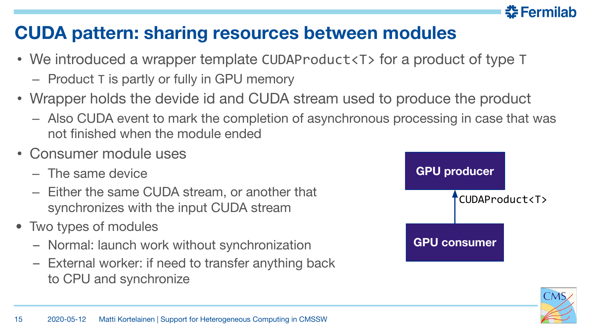#### 춮 Fermilab **CUDA pattern: sharing resources between modules**

- We introduced a wrapper template CUDAProduct<T> for a product of type T
	- Product T is partly or fully in GPU memory
- Wrapper holds the devide id and CUDA stream used to produce the product
	- Also CUDA event to mark the completion of asynchronous processing in case that was not finished when the module ended
- Consumer module uses
	- The same device
	- Either the same CUDA stream, or another that synchronizes with the input CUDA stream
- Two types of modules
	- Normal: launch work without synchronization
	- External worker: if need to transfer anything back to CPU and synchronize